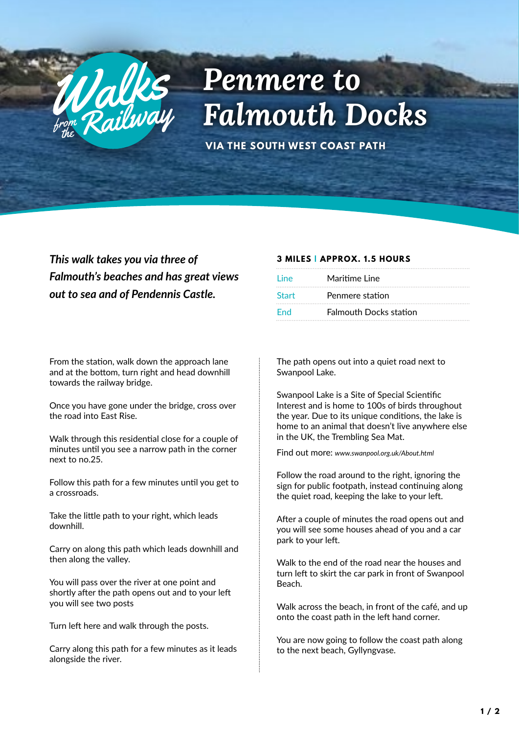

## *<i>Penmere to*<br>From Railway Falmouth Docks

**VIA THE SOUTH WEST COAST PATH**

*This walk takes you via three of Falmouth's beaches and has great views out to sea and of Pendennis Castle.* 

From the station, walk down the approach lane and at the bottom, turn right and head downhill towards the railway bridge.

Once you have gone under the bridge, cross over the road into East Rise.

Walk through this residential close for a couple of minutes until you see a narrow path in the corner next to no.25.

Follow this path for a few minutes until you get to a crossroads.

Take the little path to your right, which leads downhill.

Carry on along this path which leads downhill and then along the valley.

You will pass over the river at one point and shortly after the path opens out and to your left you will see two posts

Turn left here and walk through the posts.

Carry along this path for a few minutes as it leads alongside the river.

## **3 MILES | APPROX. 1.5 HOURS**

| Line         | Maritime Line                 |
|--------------|-------------------------------|
| <b>Start</b> | Penmere station               |
| End          | <b>Falmouth Docks station</b> |

The path opens out into a quiet road next to Swanpool Lake.

Swanpool Lake is a Site of Special Scientific Interest and is home to 100s of birds throughout the year. Due to its unique conditions, the lake is home to an animal that doesn't live anywhere else in the UK, the Trembling Sea Mat.

Find out more: *www.swanpool.org.uk/About.html*

Follow the road around to the right, ignoring the sign for public footpath, instead continuing along the quiet road, keeping the lake to your left.

After a couple of minutes the road opens out and you will see some houses ahead of you and a car park to your left.

Walk to the end of the road near the houses and turn left to skirt the car park in front of Swanpool Beach.

Walk across the beach, in front of the café, and up onto the coast path in the left hand corner.

You are now going to follow the coast path along to the next beach, Gyllyngvase.